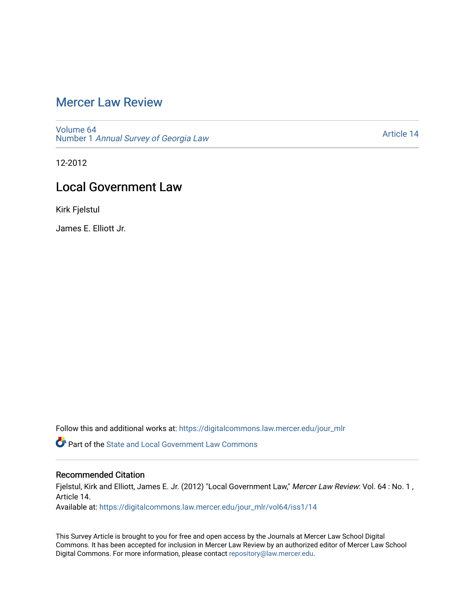# [Mercer Law Review](https://digitalcommons.law.mercer.edu/jour_mlr)

[Volume 64](https://digitalcommons.law.mercer.edu/jour_mlr/vol64) Number 1 [Annual Survey of Georgia Law](https://digitalcommons.law.mercer.edu/jour_mlr/vol64/iss1) 

[Article 14](https://digitalcommons.law.mercer.edu/jour_mlr/vol64/iss1/14) 

12-2012

# Local Government Law

Kirk Fjelstul

James E. Elliott Jr.

Follow this and additional works at: [https://digitalcommons.law.mercer.edu/jour\\_mlr](https://digitalcommons.law.mercer.edu/jour_mlr?utm_source=digitalcommons.law.mercer.edu%2Fjour_mlr%2Fvol64%2Fiss1%2F14&utm_medium=PDF&utm_campaign=PDFCoverPages)

**P** Part of the [State and Local Government Law Commons](http://network.bepress.com/hgg/discipline/879?utm_source=digitalcommons.law.mercer.edu%2Fjour_mlr%2Fvol64%2Fiss1%2F14&utm_medium=PDF&utm_campaign=PDFCoverPages)

## Recommended Citation

Fjelstul, Kirk and Elliott, James E. Jr. (2012) "Local Government Law," Mercer Law Review: Vol. 64 : No. 1, Article 14.

Available at: [https://digitalcommons.law.mercer.edu/jour\\_mlr/vol64/iss1/14](https://digitalcommons.law.mercer.edu/jour_mlr/vol64/iss1/14?utm_source=digitalcommons.law.mercer.edu%2Fjour_mlr%2Fvol64%2Fiss1%2F14&utm_medium=PDF&utm_campaign=PDFCoverPages) 

This Survey Article is brought to you for free and open access by the Journals at Mercer Law School Digital Commons. It has been accepted for inclusion in Mercer Law Review by an authorized editor of Mercer Law School Digital Commons. For more information, please contact [repository@law.mercer.edu](mailto:repository@law.mercer.edu).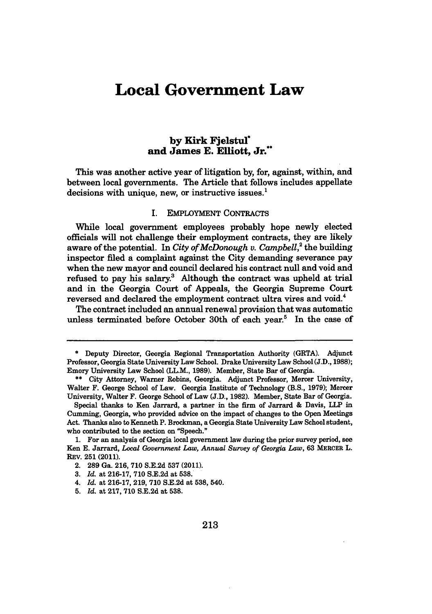# **Local Government Law**

## **by Kirk Fjelstul\* and James E. Elliott, Jr.\*\***

This was another active year of litigation **by,** for, against, within, and between local governments. The Article that follows includes appellate decisions with unique, new, or instructive issues.'

#### I. EMPLOYMENT CONTRACTS

While local government employees probably hope newly elected officials will not challenge their employment contracts, they are likely aware of the potential. In *City of McDonough v. Campbell*,<sup>2</sup> the building inspector filed a complaint against the City demanding severance pay when the new mayor and council declared his contract null and void and refused to pay his salary. $3$  Although the contract was upheld at trial and in the Georgia Court of Appeals, the Georgia Supreme Court reversed and declared the employment contract ultra vires and void.<sup>4</sup>

The contract included an annual renewal provision that was automatic unless terminated before October 30th of each year.<sup>5</sup> In the case of

**<sup>\*</sup>** Deputy Director, Georgia Regional Transportation Authority (GRTA). Adjunct Professor, Georgia State University Law School. Drake University Law School **(J.D., 1988);** Emory University Law School (LL.M., **1989).** Member, State Bar of Georgia.

**<sup>\*\*</sup>** City Attorney, Warner Robins, Georgia. Adjunct Professor, Mercer University, Walter F. George School of Law. Georgia Institute of Technology (B.S., **1979);** Mercer University, Walter F. George School of Law **(J.D., 1982).** Member, State Bar of Georgia.

Special thanks to Ken Jarrard, a partner in the firm of Jarrard **&** Davis, LLP in Cumming, Georgia, who provided advice on the impact of changes to the Open Meetings Act. Thanks also to Kenneth P. Brockman, a Georgia State University Law School student, who contributed to the section on "Speech."

**<sup>1.</sup>** For an analysis of Georgia local government law during the prior survey period, see Ken **E.** Jarrard, *Local Government Law, Annual Survey of Georgia Law,* **63 MERCER** L. REV. **251** (2011).

<sup>2. 289</sup> Ga. 216, 710 S.E.2d 537 (2011).

**<sup>3.</sup>** *Id.* at **216-17, 710 S.E.2d** at **538.**

<sup>4.</sup> *Id.* at **216-17, 219, 710 S.E.2d** at **538,** 540.

**<sup>5.</sup>** *Id.* at 217, 710 S.E.2d at **538.**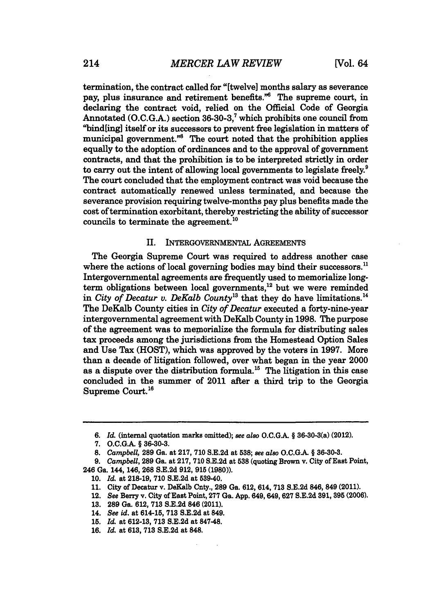termination, the contract called for "[twelve] months salary as severance pay, plus insurance and retirement benefits."6 The supreme court, in declaring the contract void, relied on the Official Code of Georgia Annotated **(O.C.G.A.)** section 36-30-3,' which prohibits one council from "bind[ing] itself or its successors to prevent free legislation in matters of municipal government."<sup>8</sup> The court noted that the prohibition applies equally to the adoption of ordinances and to the approval of government contracts, and that the prohibition is to be interpreted strictly in order to carry out the intent of allowing local governments to legislate freely.<sup>9</sup> The court concluded that the employment contract was void because the contract automatically renewed unless terminated, and because the severance provision requiring twelve-months pay plus benefits made the cost of termination exorbitant, thereby restricting the ability of successor councils to terminate the agreement.<sup>10</sup>

### II. INTERGOVERNMENTAL **AGREEMENTS**

The Georgia Supreme Court was required to address another case where the actions of local governing bodies may bind their successors.<sup>11</sup> Intergovernmental agreements are frequently used to memorialize longterm obligations between local governments,<sup>12</sup> but we were reminded in *City of Decatur v. DeKalb County*<sup>13</sup> that they do have limitations.<sup>14</sup> The DeKalb County cities in *City of Decatur* executed a forty-nine-year intergovernmental agreement with DeKalb County in 1998. The purpose of the agreement was to memorialize the formula for distributing sales tax proceeds among the jurisdictions from the Homestead Option Sales and Use Tax (HOST), which was approved by the voters in 1997. More than a decade of litigation followed, over what began in the year 2000 as a dispute over the distribution formula.<sup>15</sup> The litigation in this case concluded in the summer of 2011 after a third trip to the Georgia Supreme Court.<sup>16</sup>

*<sup>6.</sup> Id.* (internal quotation marks omitted); *see also* **O.C.G.A.** § 36-30-3(a) (2012).

**<sup>7.</sup> O.C.G.A.** § **36-30-3.**

**<sup>8.</sup>** *Campbell,* **289** Ga. at **217, 710 S.E.2d** at **538;** *see also* **O.C.G.A.** § **36-30-3.**

*<sup>9.</sup> Campbell,* **289** Ga. at **217, 710 S.E.2d** at **538** (quoting Brown v. City of East Point, 246 Ga. 144, 146, **268 S.E.2d 912, 915 (1980)).**

**<sup>10.</sup>** *Id.* at **218-19, 710 S.E.2d** at 539-40.

**<sup>11.</sup>** City of Decatur v. DeKalb Cnty., **289** Ga. **612,** 614, **713 S.E.2d** 846, 849 (2011).

<sup>12.</sup> See Berry v. City of East Point, **277** Ga. **App. 649,649, 627 S.E.2d 391, 395 (2006).**

**<sup>13. 289</sup>** Ga. **612, 713 S.E.2d** 846 (2011).

<sup>14.</sup> *See id.* at 614-15, **713 S.E.2d** at 849.

**<sup>15.</sup>** *Id.* at **612-13, 713 S.E.2d** at 847-48.

**<sup>16.</sup>** *Id.* at **613, 713 S.E.2d** at **848.**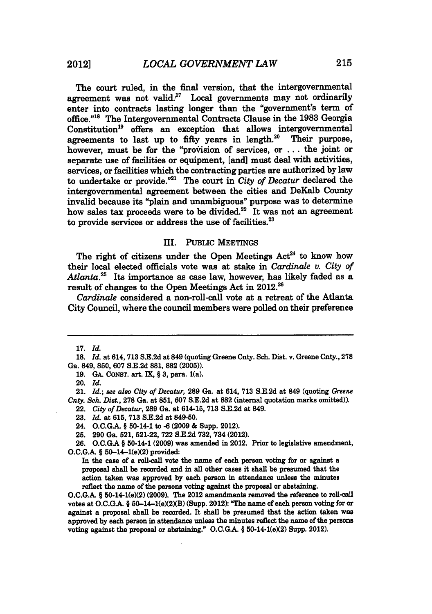The court ruled, in the final version, that the intergovernmental agreement was not valid. $17$  Local governments may not ordinarily enter into contracts lasting longer than the "government's term of office.""8 The Intergovernmental Contracts Clause in the **1983** Georgia Constitution<sup>19</sup> offers an exception that allows intergovernmental agreements to last up to fifty years in length.<sup>20</sup> Their purpose, however, must be for the "provision of services, or ... the joint or separate use of facilities or equipment, [and] must deal with activities, services, or facilities which the contracting parties are authorized **by** law to undertake or provide."21 The court in *City of Decatur* declared the intergovernmental agreement between the cities and DeKalb County invalid because its "plain and unambiguous" purpose was to determine how sales tax proceeds were to be divided.<sup>22</sup> It was not an agreement to provide services or address the use of facilities.<sup>23</sup>

### III. **PUBLIC** MEETINGS

The right of citizens under the Open Meetings  $Act<sup>24</sup>$  to know how their local elected officials vote was at stake in *Cardinale v. City of* Atlanta.<sup>25</sup> Its importance as case law, however, has likely faded as a result of changes to the Open Meetings Act in 2012.<sup>26</sup>

*Cardinale* considered a non-roll-call vote at a retreat of the Atlanta City Council, where the council members were polled on their preference

**19. GA.** CONST. art. IX, § 3, para. 1(a).

**23.** *Id.* at **615, 713** S.E.2d at 849-50.

**O.C.G.A.** § 50-14-1(e)(2) **(2009).** The 2012 amendments removed the reference to roll-call votes at O.C.G.A. § 50-14-1(e)(2)(B) (Supp. 2012): "The name of each person voting for or against a proposal shall be recorded. It shall be presumed that the action taken was approved **by** each person in attendance unless the minutes reflect the name of the persons voting against the proposal or abstaining." **O.C.G.A.** § 50-14-1(e)(2) Supp. 2012).

**<sup>17.</sup>** *Id.*

**<sup>18.</sup>** *Id.* at 614, **713** S.E.2d at 849 (quoting Greene Cnty. Sch. Dist. v. Greene Cnty., **278** Ga. 849, **850,** 607 S.E.2d **881, 882** (2005)).

<sup>20.</sup> *Id.*

<sup>21.</sup> *Id.; see also City of Decatur,* **289** Ga. at 614, **713** S.E.2d at 849 (quoting *Greene Cnty. Sch. Dist.,* **278** Ga. at **851,** 607 S.E.2d at **882** (internal quotation marks omitted)).

<sup>22.</sup> *City of Decatur,* **289** Ga. at 614-15, **713 S.E.2d** at 849.

<sup>24.</sup> O.C.G.A. § 50-14-1 to **-6 (2009** & Supp. 2012).

**<sup>25. 290</sup>** Ga. 521, 521-22, **722 S.E.2d 732,** 734 (2012).

**<sup>26.</sup> O.C.GA** § 50-14-1 (2009) was amended in 2012. Prior to legislative amendment,  $O.C.G.A. \S 50-14-1(e)(2)$  provided:

In the case of a roll-call vote the name of each person voting for or against a proposal shall **be** recorded and in all other cases it shall be presumed that the action taken was approved **by** each person in attendance unless the minutes reflect the name of the persons voting against the proposal or abstaining.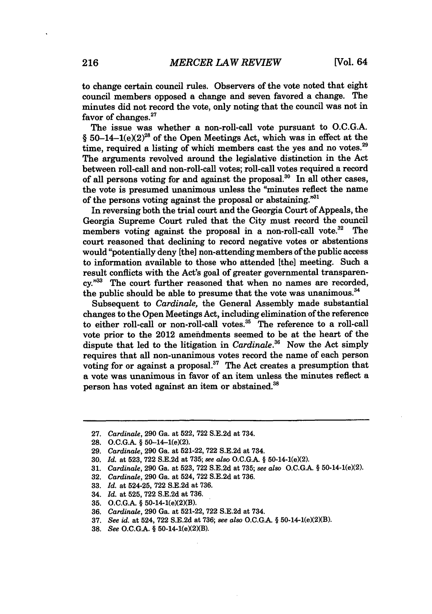to change certain council rules. Observers of the vote noted that eight council members opposed a change and seven favored a change. The minutes did not record the vote, only noting that the council was not in favor of changes.<sup>27</sup>

The issue was whether a non-roll-call vote pursuant to **O.C.G.A.** § 50-14-1(e)(2)<sup>28</sup> of the Open Meetings Act, which was in effect at the time, required a listing of which members cast the yes and no votes.<sup>29</sup> The arguments revolved around the legislative distinction in the Act between roll-call and non-roll-call votes; roll-call votes required a record of all persons voting for and against the proposal. $30$  In all other cases, the vote is presumed unanimous unless the "minutes reflect the name of the persons voting against the proposal or abstaining."<sup>31</sup>

In reversing both the trial court and the Georgia Court of Appeals, the Georgia Supreme Court ruled that the City must record the council members voting against the proposal in a non-roll-call vote.<sup>32</sup> The court reasoned that declining to record negative votes or abstentions would "potentially deny [the] non-attending members of the public access to information available to those who attended [the] meeting. Such a result conflicts with the Act's goal of greater governmental transparen**cy."3** The court further reasoned that when no names are recorded, the public should be able to presume that the vote was unanimous.<sup>34</sup>

Subsequent to *Cardinale,* the General Assembly made substantial changes to the Open Meetings Act, including elimination of the reference to either roll-call or non-roll-call votes.35 The reference to a roll-call vote prior to the 2012 ameidments seemed to be at the heart of the dispute that led to the litigation in *Cardinale*.<sup>36</sup> Now the Act simply requires that all non-unanimous votes record the name of each person voting for or against a proposal.<sup>37</sup> The Act creates a presumption that a vote was unanimous in favor of an item unless the minutes reflect a person has voted against an item or abstained.<sup>38</sup>

- **33.** *Id.* at 524-25, **722 S.E.2d** at **736.**
- 34. *Id.* at **525, 722 S.E.2d** at **736.**
- **35. O.C.G.A.** § 50-14-1(e)(2)(B).
- **36.** *Cardinale,* **290** Ga. at **521-22, 722 S.E.2d** at 734.
- **37.** *See id.* at 524, 722 S.E.2d at 736; see also O.C.G.A. § 50-14-1(e)(2)(B).
- 38. *See* O.C.G.A. § 50-14-1(e)(2)(B).

**<sup>27.</sup>** *Cardinale,* **290** Ga. at **522, 722 S.E.2d** at 734.

**<sup>28.</sup> O.C.G.A.** § 50-14-1(e)(2).

**<sup>29.</sup>** *Cardinale,* **290** Ga. at 521-22, **722 S.E.2d** at 734.

**<sup>30.</sup>** *Id.* at **523, 722 S.E.2d** at **735;** *see also* **O.C.G.A.** § 50-14-1(e)(2).

**<sup>31.</sup>** *Cardinale,* **290** Ga. at **523, 722 S.E.2d** at **735;** *see also* **O.C.G.A.** § 50-14-1(e)(2).

**<sup>32.</sup>** *Cardinale,* **290** Ga. at 524, **722 S.E.2d** at **736.**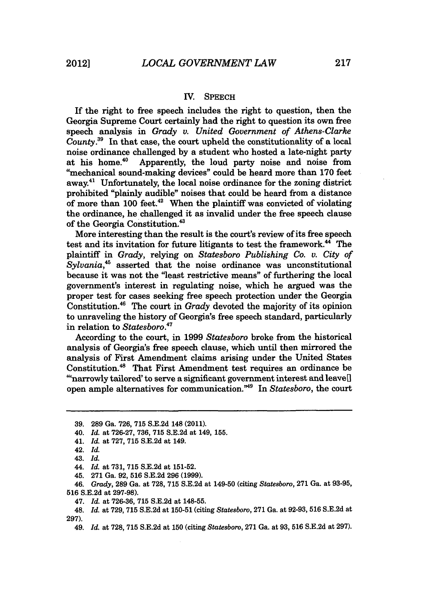#### IV. SPEECH

If the right to free speech includes the right to question, then the Georgia Supreme Court certainly had the right to question its own free speech analysis in *Grady v. United Government of Athens-Clarke County.3 <sup>9</sup>*In that case, the court upheld the constitutionality of a local noise ordinance challenged by a student who hosted a late-night party<br>at his home.<sup>40</sup> Apparently, the loud party noise and noise from Apparently, the loud party noise and noise from "mechanical sound-making devices" could be heard more than 170 feet away.41 Unfortunately, the local noise ordinance for the zoning district prohibited "plainly audible" noises that could be heard from a distance of more than  $100$  feet.<sup>42</sup> When the plaintiff was convicted of violating the ordinance, he challenged it as invalid under the free speech clause of the Georgia Constitution.<sup>43</sup>

More interesting than the result is the court's review of its free speech test and its invitation for future litigants to test the framework.<sup>44</sup> The plaintiff in *Grady,* relying on *Statesboro Publishing Co. v. City of Sylvania,"* asserted that the noise ordinance was unconstitutional because it was not the "least restrictive means" of furthering the local government's interest in regulating noise, which he argued was the proper test for cases seeking free speech protection under the Georgia Constitution.46 The court in *Grady* devoted the majority of its opinion to unraveling the history of Georgia's free speech standard, particularly in relation to *Statesboro. <sup>v</sup>*

According to the court, in 1999 *Statesboro* broke from the historical analysis of Georgia's free speech clause, which until then mirrored the analysis of First Amendment claims arising under the United States Constitution.<sup>48</sup> That First Amendment test requires an ordinance be "narrowly tailored' to serve a significant government interest and leave<sup>[]</sup> open ample alternatives for communication.<sup>"49</sup> In *Statesboro*, the court

46. *Grady,* **289** Ga. at 728, **715** S.E.2d at 149-50 (citing *Statesboro,* 271 Ga. at 93-95, **516** S.E.2d at 297-98).

<sup>39. 289</sup> Ga. 726, 715 S.E.2d 148 (2011).

<sup>40.</sup> *Id.* at 726-27, 736, 715 S.E.2d at 149, 155.

<sup>41.</sup> *Id.* at 727, **715** S.E.2d at 149.

<sup>42.</sup> *Id.*

<sup>43.</sup> *Id.*

<sup>44.</sup> *Id.* at 731, **715 S.E.2d** at **151-52.**

<sup>45. 271</sup> Ga. 92, **516** S.E.2d 296 (1999).

<sup>47.</sup> *Id.* at 726-36, 715 S.E.2d at **148-55.**

<sup>48.</sup> *Id.* at 729, **715** S.E.2d at 150-51 (citing *Statesboro,* 271 Ga. at 92-93, 516 S.E.2d at 297).

<sup>49.</sup> *Id.* at 728, **715** S.E.2d at 150 (citing *Statesboro,* 271 Ga. at 93, 516 S.E.2d at 297).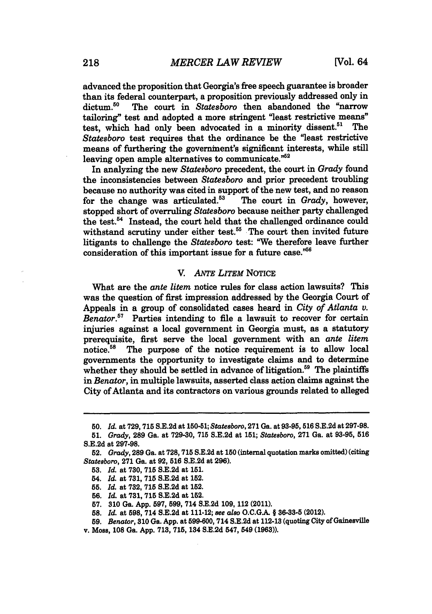advanced the proposition that Georgia's free speech guarantee is broader than its federal counterpart, a proposition previously addressed only in dictum.<sup>50</sup> The court in *Statesboro* then abandoned the "narrow tailoring" test and adopted a more stringent "least restrictive means" test, which had only been advocated in a minority dissent.<sup>51</sup> The *Statesboro* test requires that the ordinance be the "least restrictive means of furthering the governinent's significant interests, while still leaving open ample alternatives to communicate."<sup>52</sup>

In analyzing the new *Statesboro* precedent, the court in *Grady* found the inconsistencies between *Statesboro* and prior precedent troubling because no authority was cited in support of the new test, and no reason<br>for the change was articulated.<sup>53</sup> The court in *Grady*, however, for the change was articulated.<sup>53</sup> stopped short of overruling *Statesboro* because neither party challenged the test.<sup>54</sup> Instead, the court held that the challenged ordinance could withstand scrutiny under either test.<sup>55</sup> The court then invited future litigants to challenge the *Statesboro* test: "We therefore leave further consideration of this important issue for a future case."56

### *V. ANTE LITEM* NOTICE

What are the *ante litem* notice rules for class action lawsuits? This was the question of first impression addressed **by** the Georgia Court of Appeals in a group of consolidated cases heard in *City of Atlanta v. Benator.57* Parties intending to file a lawsuit to recover for certain injuries against a local government in Georgia must, as a statutory prerequisite, first serve the local government with an *ante litem* notice.<sup>58</sup> The purpose of the notice requirement is to allow local governments the opportunity to investigate claims and to determine whether they should be settled in advance of litigation.<sup>59</sup> The plaintiffs in *Benator,* in multiple lawsuits, asserted class action claims against the City of Atlanta and its contractors on various grounds related to alleged

**<sup>50.</sup>** *Id.* at **729, 715 S.E.2d** at **150-51;** *Statesboro,* **271** Ga. at **93-95, 516 S.E.2d** at 297-98.

**<sup>51.</sup>** Grady, **289** Ga. at **729-30, 715 S.E.2d** at **151;** *Statesboro,* **271** Ga. at **93-95, 516 S.E.2d** at **297-98.**

<sup>52.</sup> Grady, **289** Ga. at **728, 715 S.E.2d** at **150** (internal quotation marks omitted) (citing *Statesboro,* **271** Ga. at **92, 516 S.E.2d** at **296).**

**<sup>53.</sup>** *Id.* at **730, 715 S.E.2d** at **151.**

<sup>54.</sup> *Id.* at **731, 715 S.E.2d** at **152.**

**<sup>55.</sup>** *Id.* at **732, 715 S.E.2d** at 152.

**<sup>56.</sup>** *Id.* at **731, 715 S.E.2d** at 152.

**<sup>57. 310</sup>** Ga. **App. 597, 599,** 714 **S.E.2d 109,** 112 (2011).

**<sup>58.</sup>** *Id.* at **598,** 714 **S.E.2d** at 111-12; *see also* **O.C.GA.** § **36-33-5** (2012).

**<sup>59.</sup>** *Benator,* **310** Ga. **App.** at **599-600,** 714 **S.E.2d** at **112-13** (quoting City of Gainesville

v. Moss, **108** Ga. **App. 713, 715,** 134 **S.E.2d** 547, 549 **(1963)).**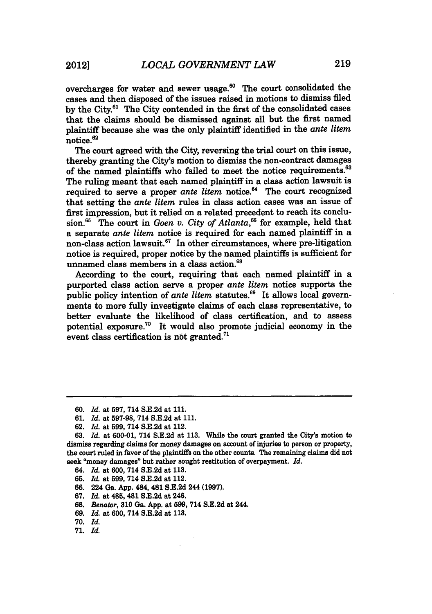overcharges for water and sewer usage.<sup>60</sup> The court consolidated the cases and then disposed of the issues raised in motions to dismiss filed **by** the City.6' The City contended in the first of the consolidated cases that the claims should be dismissed against all but the first named plaintiff because she was the only plaintiff identified in the *ante litem* notice.<sup>62</sup>

The court agreed with the City, reversing the trial court on this issue, thereby granting the City's motion to dismiss the non-contract damages of the named plaintiffs who failed to meet the notice requirements.<sup>63</sup> The ruling meant that each named plaintiff in a class action lawsuit is required to serve a proper *ante litem* notice.<sup>64</sup> The court recognized that setting the *ante litem* rules in class action cases was an issue of first impression, but it relied on a related precedent to reach its conclusion.6' The court in *Goen v. City of Atlanta,66* for example, held that a separate *ante litem* notice is required for each named plaintiff in a non-class action lawsuit.<sup>67</sup> In other circumstances, where pre-litigation notice is required, proper notice **by** the named plaintiffs is sufficient for unnamed class members in a class action.<sup>68</sup>

According to the court, requiring that each named plaintiff in a purported class action serve a proper *ante litem* notice supports the public policy intention of ante litem statutes.<sup>69</sup> It allows local governments to more fully investigate claims of each class representative, to better evaluate the likelihood of class certification, and to assess potential exposure.70 It would also promote judicial economy in the event class certification is not granted.<sup>71</sup>

- 64. *Id.* at **600,** 714 **S.E.2d** at **113.**
- **65.** *Id.* at **599,** 714 **S.E.2d** at 112.
- **66.** 224 Ga. **App.** 484, 481 **S.E.2d** 244 **(1997).**
- **67.** *Id.* at 485, 481 **S.E.2d** at 246.
- **68.** *Benator,* **310** Ga. **App.** at **599,** 714 **S.E.2d** at 244.
- **69.** *Id.* at **600,** 714 **S.E.2d** at **113.**
- **70.** *Id.*
- **71.** *Id.*

**<sup>60.</sup>** *Id.* at **597,** 714 **S.E.2d** at **111.**

**<sup>61.</sup>** *Id.* at **597-98,** 714 **S.E.2d** at **111.**

**<sup>62.</sup>** *Id.* at **599,** 714 **S.E.2d** at 112.

**<sup>63.</sup>** *Id.* at **600-01,** 714 **S.E.2d** at **113.** While the court granted the City's motion to dismiss regarding claims for money damages on account of injuries to person or property, the court ruled in favor of the plaintiffs on the other counts. The remaining claims did not seek "money damages" but rather sought restitution of overpayment. *Id.*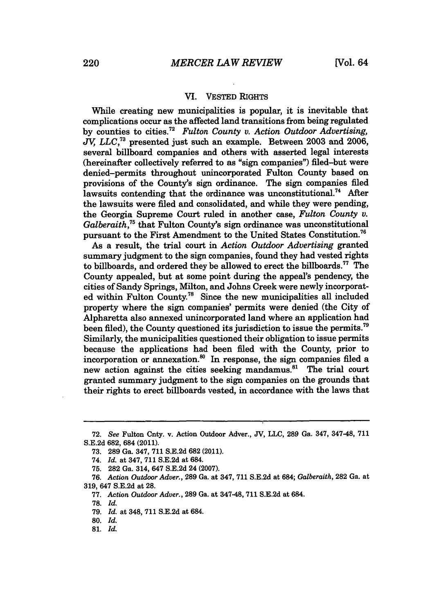### VI. VESTED RIGHTS

While creating new municipalities is popular, it is inevitable that complications occur as the affected land transitions from being regulated by counties to cities.72 *Fulton County v. Action Outdoor Advertising, JV, LLC,73* presented just such an example. Between 2003 and 2006, several billboard companies and others with asserted legal interests (hereinafter collectively referred to as "sign companies") filed-but were denied-permits throughout unincorporated Fulton County based on provisions of the County's sign ordinance. The sign companies fied lawsuits contending that the ordinance was unconstitutional.<sup>74</sup> After the lawsuits were filed and consolidated, and while they were pending, the Georgia Supreme Court ruled in another case, *Fulton County v. Galberaith,75* that Fulton County's sign ordinance was unconstitutional pursuant to the First Amendment to the United States Constitution.<sup>76</sup>

As a result, the trial court in *Action Outdoor Advertising* granted summary judgment to the sign companies, found they had vested rights to billboards, and ordered they be allowed to erect the billboards.<sup>77</sup> The County appealed, but at some point during the appeal's pendency, the cities of Sandy Springs, Milton, and Johns Creek were newly incorporated within Fulton County.<sup>78</sup> Since the new municipalities all included property where the sign companies' permits were denied (the City of Alpharetta also annexed unincorporated land where an application had been filed), the County questioned its jurisdiction to issue the permits.<sup>79</sup> Similarly, the municipalities questioned their obligation to issue permits because the applications had been fied with the County, prior to incorporation or annexation. $^{80}$  In response, the sign companies filed a new action against the cities seeking mandamus.<sup>81</sup> The trial court granted summary judgment to the sign companies on the grounds that their rights to erect billboards vested, in accordance with the laws that

<sup>72.</sup> *See* Fulton Cnty. v. Action Outdoor Adver., **JV, LLC,** 289 Ga. 347, 347-48, 711 S.E.2d 682, 684 (2011).

**<sup>73.</sup>** 289 Ga. 347, 711 S.E.2d **682** (2011).

<sup>74.</sup> *Id.* at 347, 711 S.E.2d at 684.

**<sup>75.</sup>** 282 Ga. 314, 647 S.E.2d 24 (2007).

<sup>76.</sup> *Action Outdoor Adver.,* **289** Ga. at 347, 711 S.E.2d at 684; *Galberaith,* 282 Ga. at 319, 647 S.E.2d at **28.**

**<sup>77.</sup>** *Action Outdoor Adver.,* **289** Ga. at **347-48, 711 S.E.2d** at 684.

<sup>78.</sup> *Id.*

<sup>79.</sup> *Id.* at 348, **711** S.E.2d at 684.

**<sup>80.</sup>** *Id.*

<sup>81.</sup> *Id.*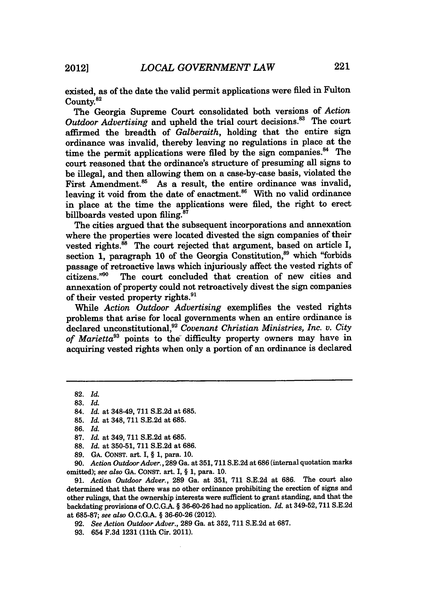existed, as of the date the valid permit applications were filed in Fulton County.<sup>82</sup>

The Georgia Supreme Court consolidated both versions of *Action* Outdoor Advertising and upheld the trial court decisions.<sup>83</sup> The court affirmed the breadth of *Galberaith,* holding that the entire sign ordinance was invalid, thereby leaving no regulations in place at the time the permit applications were filed by the sign companies.<sup>84</sup> The court reasoned that the ordinance's structure of presuming all signs to be illegal, and then allowing them on a case-by-case basis, violated the First Amendment.<sup>85</sup> As a result, the entire ordinance was invalid, leaving it void from the date of enactment. $86$  With no valid ordinance in place at the time the applications were filed, the right to erect billboards vested upon filing.<sup>87</sup>

The cities argued that the subsequent incorporations and annexation where the properties were located divested the sign companies of their vested rights.<sup>88</sup> The court rejected that argument, based on article I, section 1, paragraph 10 of the Georgia Constitution,<sup>89</sup> which "forbids" passage of retroactive laws which injuriously affect the vested rights of citizens."<sup>90</sup> The court concluded that creation of new cities and The court concluded that creation of new cities and annexation of property could not retroactively divest the sign companies of their vested property rights.<sup>91</sup>

While *Action Outdoor Advertising* exemplifies the vested rights problems that arise for local governments when an entire ordinance is declared unconstitutional,92 *Covenant Christian Ministries, Inc. v. City of Marietta93* points to the difficulty property owners may have in acquiring vested rights when only a portion of an ordinance is declared

**85.** *Id.* at 348, **711 S.E.2d** at **685.**

88. *Id.* at 350-51, **711** S.E.2d at 686.

91. *Action Outdoor Adver.,* **289** Ga. at 351, 711 S.E.2d at 686. The court also determined that that there was no other ordinance prohibiting the erection of signs and other rulings, that the ownership interests were sufficient to grant standing, and that the backdating provisions of **O.C.GA.** § **36-60-26** had no application. *Id.* at 349-52, **711 S.E.2d** at **685-87;** *see also* **O.C.G.A.** § **36-60-26** (2012).

**92.** *See Action Outdoor Adver.,* **289** Ga. at **352, 711 S.E.2d** at **687.**

**93.** 654 **F.3d 1231** (11th Cir. 2011).

**<sup>82.</sup>** *Id.*

**<sup>83.</sup>** *Id.*

<sup>84.</sup> *Id.* at 348-49, **711 S.E.2d** at **685.**

**<sup>86.</sup>** *Id.*

<sup>87.</sup> *Id.* at 349, 711 S.E.2d at 685.

<sup>89.</sup> GA. CONST. art. I, § 1, para. 10.

<sup>90.</sup> *Action Outdoor Adver.,* 289 Ga. at 351,711 S.E.2d at 686 (internal quotation marks omitted); *see also* GA. CONST. art. I, § 1, para. 10.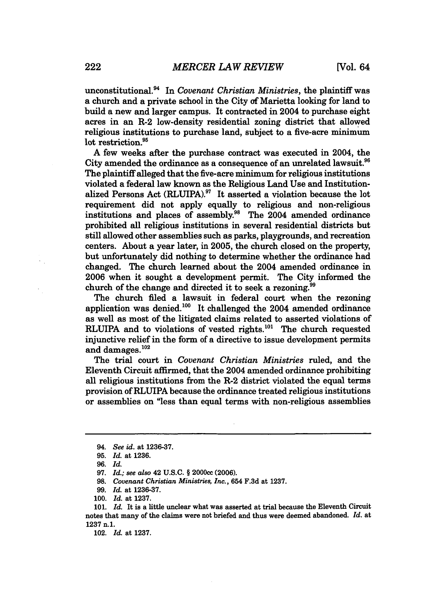unconstitutional.<sup>94</sup> In *Covenant Christian Ministries*, the plaintiff was a church and a private school in the City of Marietta looking for land to build a new and larger campus. It contracted in 2004 to purchase eight acres in an R-2 low-density residential zoning district that allowed religious institutions to purchase land, subject to a five-acre minimum lot restriction.<sup>95</sup>

A few weeks after the purchase contract was executed in 2004, the City amended the ordinance as a consequence of an unrelated lawsuit.<sup>96</sup> The plaintiff alleged that the five-acre minimum for religious institutions violated a federal law known as the Religious Land Use and Institutionalized Persons Act (RLUIPA).<sup>97</sup> It asserted a violation because the lot requirement did not apply equally to religious and non-religious institutions and places of assembly.<sup>98</sup> The  $2004$  amended ordinance prohibited all religious institutions in several residential districts but still allowed other assemblies such as parks, playgrounds, and recreation centers. About a year later, in 2005, the church closed on the property, but unfortunately did nothing to determine whether the ordinance had changed. The church learned about the 2004 amended ordinance in 2006 when it sought a development permit. The City informed the church of the change and directed it to seek a rezoning.<sup>99</sup>

The church filed a lawsuit in federal court when the rezoning application was denied. 100 It challenged the 2004 amended ordinance as well as most of the litigated claims related to asserted violations of RLUIPA and to violations of vested rights.<sup>101</sup> The church requested injunctive relief in the form of a directive to issue development permits and damages.<sup>102</sup>

The trial court in *Covenant Christian Ministries* ruled, and the Eleventh Circuit affirmed, that the 2004 amended ordinance prohibiting all religious institutions from the R-2 district violated the equal terms provision of RLUIPA because the ordinance treated religious institutions or assemblies on "less than equal terms with non-religious assemblies

102. *Id* at 1237.

<sup>94.</sup> *See id.* at 1236-37.

**<sup>95.</sup>** *Id.* at **1236.**

<sup>96.</sup> *Id.*

<sup>97.</sup> *Id.; see also* 42 U.S.C. § 2000cc (2006).

**<sup>98.</sup>** *Covenant Christian Ministries, Inc.,* 654 F.3d at 1237.

<sup>99.</sup> *Id.* at 1236-37.

<sup>100.</sup> *Id.* at 1237.

<sup>101.</sup> *Id.* It is a little unclear what was asserted at trial because the Eleventh Circuit notes that many of the claims were not briefed and thus were deemed abandoned. *Id.* at 1237 n.1.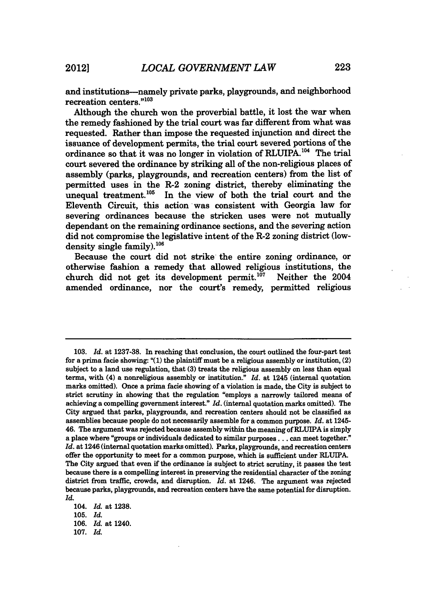and institutions--namely private parks, playgrounds, and neighborhood recreation centers."103

Although the church won the proverbial battle, it lost the war when the remedy fashioned by the trial court was far different from what was requested. Rather than impose the requested injunction and direct the issuance of development permits, the trial court severed portions of the ordinance so that it was no longer in violation of RLUIPA.<sup>104</sup> The trial court severed the ordinance by striking all of the non-religious places of assembly (parks, playgrounds, and recreation centers) from the list of permitted uses in the R-2 zoning district, thereby eliminating the unequal treatment. $^{105}$  In the view of both the trial court and the Eleventh Circuit, this action was consistent with Georgia law for severing ordinances because the stricken uses were not mutually dependant on the remaining ordinance sections, and the severing action did not compromise the legislative intent of the R-2 zoning district (lowdensity single family). $^{106}$ 

Because the court did not strike the entire zoning ordinance, or otherwise fashion a remedy that allowed religious institutions, the church did not get its development permit.<sup>107</sup> Neither the  $2004$ amended ordinance, nor the court's remedy, permitted religious

107. *Id.*

<sup>103.</sup> *Id.* at 1237-38. In reaching that conclusion, the court outlined the four-part test for a prima facie showing: " $(1)$  the plaintiff must be a religious assembly or institution,  $(2)$ subject to a land use regulation, that **(3)** treats the religious assembly on less than equal terms, with (4) a nonreligious assembly or institution." *Id.* at 1245 (internal quotation marks omitted). Once a prima facie showing of a violation is made, the City is subject to strict scrutiny in showing that the regulation "employs a narrowly tailored means of achieving a compelling government interest." *Id.* (internal quotation marks omitted). The City argued that parks, playgrounds, and recreation centers should not be classified as assemblies because people do not necessarily assemble for a common purpose. *Id.* at 1245- 46. The argument was rejected because assembly within the meaning of RLUIPA is simply a place where "groups or individuals dedicated to similar **purposes...** can meet together." *Id.* at 1246 (internal quotation marks omitted). Parks, playgrounds, and recreation centers offer the opportunity to meet for a common purpose, which is sufficient under RLUIPA. The City argued that even if the ordinance is subject to strict scrutiny, it passes the test because there is a compelling interest in preserving the residential character of the zoning district from traffic, crowds, and disruption. *Id.* at 1246. The argument was rejected because parks, playgrounds, and recreation centers have the **same** potential for disruption. *Id.*

<sup>104.</sup> *Id.* at **1238.**

<sup>105.</sup> *Id.*

<sup>106.</sup> *Id.* at 1240.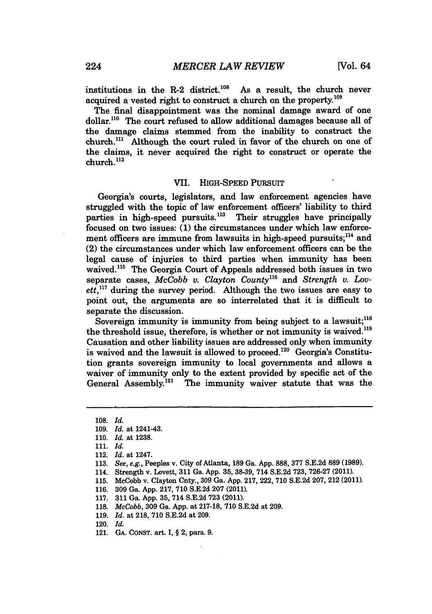institutions in the R-2 district.<sup>108</sup> As a result, the church never acquired a vested right to construct a church on the property.<sup>109</sup>

The final disappointment was the nominal damage award of one dollar.<sup>110</sup> The court refused to allow additional damages because all of the damage claims stemmed from the inability to construct the church."' Although the court ruled in favor of the church on one of the claims, it never acquired the right to construct or operate the church.112

#### VII. HIGH-SPEED PURSUIT

Georgia's courts, legislators, and law enforcement agencies have struggled with the topic of law enforcement officers' liability to third parties in high-speed pursuits.<sup>113</sup> Their struggles have principally focused on two issues: **(1)** the circumstances under which law enforcement officers are immune from lawsuits in high-speed pursuits;<sup>114</sup> and (2) the circumstances under which law enforcement officers can be the legal cause of injuries to third parties when immunity has been waived.<sup>115</sup> The Georgia Court of Appeals addressed both issues in two separate cases, *McCobb v. Clayton County*<sup>116</sup> and *Strength v. Lov* $et.$ <sup>117</sup> during the survey period. Although the two issues are easy to point out, the arguments are so interrelated that it is difficult to separate the discussion.

Sovereign immunity is immunity from being subject to a lawsuit;<sup>118</sup> the threshold issue, therefore, is whether or not immunity is waived.<sup>119</sup> Causation and other liability issues are addressed only when immunity is waived and the lawsuit is allowed to proceed.<sup>120</sup> Georgia's Constitution grants sovereign immunity to local governments and allows a waiver of immunity only to the extent provided **by** specific act of the General Assembly.<sup>121</sup> The immunity waiver statute that was the

- 113. *See, e.g.,* Peeples v. City of Atlanta, 189 Ga. App. 888, **377** S.E.2d 889 (1989).
- 114. Strength v. Lovett, **311** Ga. App. 35, 38-39, 714 S.E.2d 723, 726-27 (2011).
- 115. McCobb v. Clayton Cnty., 309 Ga. App. **217,** 222, **710** S.E.2d 207, 212 (2011).
- 116. 309 Ga. App. 217, 710 S.E.2d 207 (2011).
- 117. **311** Ga. App. 35, **714** S.E.2d **723** (2011).
- 118. *McCobb,* 309 Ga. App. at 217-18, 710 S.E.2d at 209.
- 119. *Id.* at 218, 710 S.E.2d at 209.
- 120. *Id.*
- 121. **GA. CONST.** art. **I,** § 2, para. **9.**

<sup>108.</sup> *Id.*

<sup>109.</sup> *Id.* at 1241-43.

<sup>110.</sup> *Id.* at 1238.

<sup>111.</sup> *Id.*

<sup>112.</sup> *Id.* at 1247.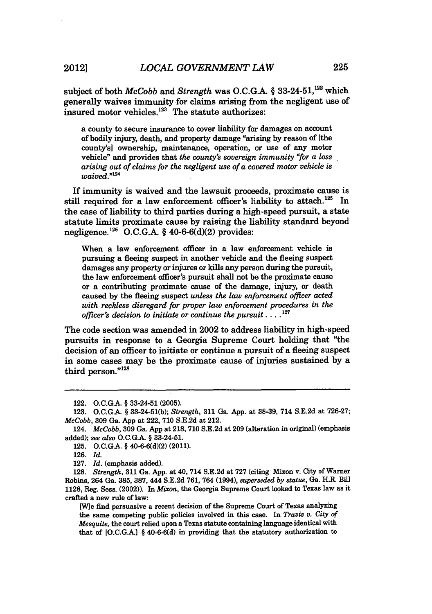subject of both *McCobb* and *Strength* was O.C.G.A. § 33-24-51,<sup>122</sup> which generally waives immunity for claims arising from the negligent use of insured motor vehicles. $123$  The statute authorizes:

a county to secure insurance to cover liability for damages on account of bodily injury, death, and property damage "arising **by** reason of [the county's] ownership, maintenance, operation, or use of any motor vehicle" and provides that *the county's sovereign immunity "for a loss arising out of claims for the negligent use of a covered motor vehicle is waived." '*

If immunity is waived and the lawsuit proceeds, proximate cause is still required for a law enforcement officer's liability to attach.<sup>125</sup> In the case of liability to third parties during a high-speed pursuit, a state statute limits proximate cause **by** raising the liability standard beyond **negligence."2 ' O.C.G.A.** § **40-6-6(d)(2)** provides:

When a law enforcement officer in a law enforcement vehicle is pursuing a fleeing suspect in another vehicle and the fleeing suspect damages any property or injures or **kills** any person during the pursuit, the law enforcement officer's pursuit shall not be the proximate cause or a contributing proximate cause of the damage, injury, or death caused **by** the fleeing suspect *unless the law enforcement officer acted with reckless disregard for proper law enforcement procedures in the officer's decision to initiate or continue the* pursuit *....* **'27**

The code section was amended in 2002 to address liability in high-speed pursuits in response to a Georgia Supreme Court holding that "the decision of an officer to initiate or continue a pursuit of a fleeing suspect in some cases may be the proximate cause of injuries sustained **by** a  $\mu$  some cases 1

<sup>122.</sup> **O.C.G.A.** § 33-24-51 **(2005).**

**<sup>123.</sup> O.C.G.A.** § **33-24-51(b);** *Strength,* **311** Ga. **App.** at **38-39,** 714 **S.E.2d** at **726-27;** *McCobb,* **309** Ga. **App** at 222, **710 S.E.2d** at 212.

<sup>124.</sup> *McCobb,* **309** Ga. **App** at **218, 710 S.E.2d** at **209** (alteration in original) (emphasis added); *see also* **O.C.G.A.** § 33-24-51.

**<sup>125.</sup> O.C.G.A.** § **40-6-6(d)(2)** (2011).

**<sup>126.</sup>** *Id.*

**<sup>127.</sup>** *Id.* (emphasis added).

**<sup>128.</sup>** *Strength,* **311** Ga. **App.** at 40, 714 **S.E.2d** at **727** (citing **Mixon** v. City of Warner Robins, 264 Ga. **385, 387,** 444 **S.E.2d 761,** 764 (1994), *superseded by statue,* Ga. H.R. Bill **1128,** Reg. Sess. (2002)). In *Mixon,* the Georgia Supreme Court looked to Texas law as it crafted a new rule of law:

**<sup>[</sup>W]e** find persuasive a recent decision of the Supreme Court of Texas analyzing the same competing public policies involved in this case. In *Travis v. City of Mesquite,* the court relied upon a Texas statute containing language identical with that of **[O.C.G.A.]** § **40-6-6(d)** in providing that the statutory authorization to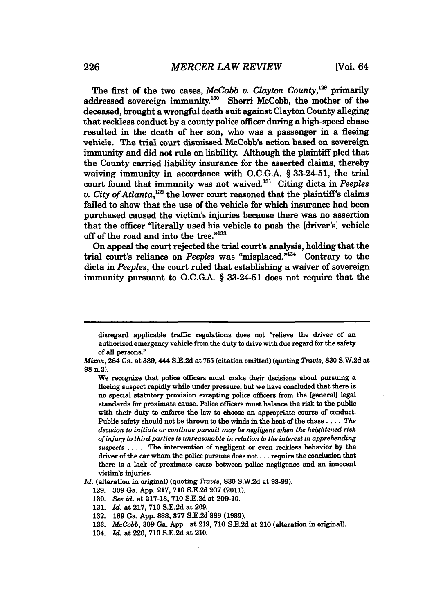The first of the two cases, *McCobb v. Clayton County*,<sup>129</sup> primarily addressed sovereign immunity.<sup>130</sup> Sherri McCobb, the mother of the deceased, brought a wrongful death suit against Clayton County alleging that reckless conduct by a county police officer during a high-speed chase resulted in the death of her son, who was a passenger in a fleeing vehicle. The trial court dismissed McCobb's action based on sovereign immunity and did not rule on liability. Although the plaintiff pled that the County carried liability insurance for the asserted claims, thereby waiving immunity in accordance with O.C.G.A. § 33-24-51, the trial court found that immunity was not waived.'' Citing dicta in *Peeples v. City of Atlanta*,  $332$  the lower court reasoned that the plaintiff's claims failed to show that the use of the vehicle for which insurance had been purchased caused the victim's injuries because there was no assertion that the officer "literally used his vehicle to push the [driver's] vehicle off of the road and into the tree."133

On appeal the court rejected the trial court's analysis, holding that the trial court's reliance on *Peeples* was "misplaced."<sup>134</sup> Contrary to the dicta in *Peeples,* the court ruled that establishing a waiver of sovereign immunity pursuant to O.C.G.A. § 33-24-51 does not require that the

- **132. 189** Ga. **App. 888, 377 S.E.2d 889 (1989).**
- **133.** *McCobb,* **309** Ga. **App.** at **219, 710 S.E.2d** at 210 (alteration in original).
- 134. *Id.* at 220, **710 S.E.2d** at 210.

disregard applicable traffic regulations does not "relieve the driver of an authorized emergency vehicle from the duty to drive with due regard for the safety of all persons."

*Mixon,* 264 Ga. at 389,444 S.E.2d at **765** (citation omitted) (quoting *Travis,* **830** S.W.2d at **98** n.2).

We recognize that police officers must make their decisions about pursuing a fleeing suspect rapidly while under pressure, but we have concluded that there is no special statutory provision excepting police officers from the [general] legal standards for proximate cause. Police officers must balance the risk to the public with their duty to enforce the law to choose an appropriate course of conduct. Public safety should not be thrown to the winds in the heat of the **chase** .... *The decision to initiate or continue pursuit may be negligent when the heightened risk of injury to third parties is unreasonable in relation to the interest in apprehending suspects* .... The intervention of negligent or even reckless behavior **by** the driver of the car whom the police pursues does **not...** require the conclusion that there is a lack of proximate cause between police negligence and an innocent victim's injuries.

*Id.* (alteration in original) (quoting *Travis,* **830 S.W.2d** at **98-99).**

**<sup>129. 309</sup>** Ga. **App. 217, 710 S.E.2d 207** (2011).

**<sup>130.</sup>** *See id.* at **217-18, 710 S.E.2d** at **209-10.**

**<sup>131.</sup>** *Id.* at **217, 710 S.E.2d** at **209.**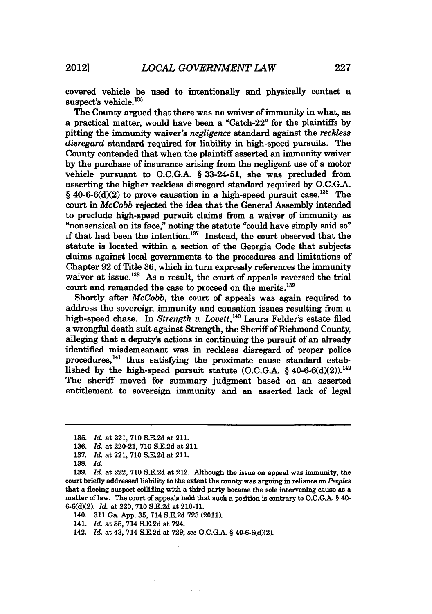covered vehicle be used to intentionally and physically contact a suspect's vehicle.<sup>135</sup>

The County argued that there was no waiver of immunity in what, as a practical matter, would have been a "Catch-22" for the plaintiffs by pitting the immunity waiver's *negligence* standard against the *reckless disregard* standard required for liability in high-speed pursuits. The County contended that when the plaintiff asserted an immunity waiver by the purchase of insurance arising from the negligent use of a motor vehicle pursuant to O.C.G.A. § 33-24-51, she was precluded from asserting the higher reckless disregard standard required by O.C.G.A. § 40-6-6(d)(2) to prove causation in a high-speed pursuit case.<sup>136</sup> The court in *McCobb* rejected the idea that the General Assembly intended to preclude high-speed pursuit claims from a waiver of immunity as "nonsensical on its face," noting the statute "could have simply said so" if that had been the intention.'37 Instead, the court observed that the statute is located within a section of the Georgia Code that subjects claims against local governments to the procedures and limitations of Chapter **92** of Title 36, which in turn expressly references the immunity waiver at issue.<sup>138</sup> As a result, the court of appeals reversed the trial court and remanded the case to proceed on the merits.<sup>139</sup>

Shortly after *McCobb,* the court of appeals was again required to address the sovereign immunity and causation issues resulting from a high-speed chase. In *Strength v. Lovett*,<sup>140</sup> Laura Felder's estate filed a wrongful death suit against Strength, the Sheriff of Richmond County, alleging that a deputy's actions in continuing the pursuit of an already identified misdemeanant was in reckless disregard of proper police procedures,<sup>141</sup> thus satisfying the proximate cause standard established by the high-speed pursuit statute  $(0.C.G.A. § 40-6-6(d)(2))$ .<sup>142</sup> The sheriff moved for summary judgment based on an asserted entitlement to sovereign immunity and an asserted lack of legal

140. 311 Ga. App. **35,** 714 S.E.2d **723** (2011).

141. *Id.* at **35,** 714 S.E.2d at 724.

142. *Id.* at 43, 714 S.E.2d at 729; see O.C.G.A. § 40-6-6(d)(2).

**<sup>135.</sup>** *Id.* at 221, 710 S.E.2d at 211.

**<sup>136.</sup>** *Id.* at 220-21, **710** S.E.2d at 211.

<sup>137.</sup> *Id.* at 221, 710 S.E.2d at 211.

**<sup>138.</sup>** *Id.*

**<sup>139.</sup>** *Id.* at 222, **710 S.E.2d** at 212. Although the issue on appeal was immunity, the court briefly addressed liability to the extent the county was arguing in reliance on *Peeples* that a fleeing suspect colliding with a third party became the sole intervening cause as a matter of law. The court of appeals held that such a position is contrary to **O.C.G.A.** § 40- 6-6(d)(2). *Id.* at 220, **710** S.E.2d at 210-11.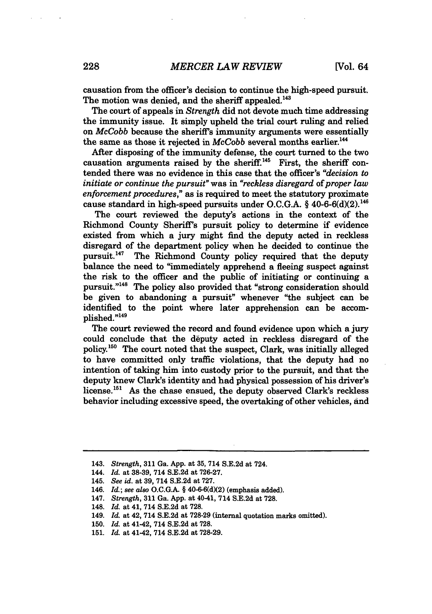causation from the officer's decision to continue the high-speed pursuit. The motion was denied, and the sheriff appealed.<sup>143</sup>

The court of appeals in *Strength* did not devote much time addressing the immunity issue. It simply upheld the trial court ruling and relied on *McCobb* because the sheriff's immunity arguments were essentially the same as those it rejected in *McCobb* several months earlier.<sup>144</sup>

After disposing of the immunity defense, the court turned to the two causation arguments raised by the sheriff.<sup>145</sup> First, the sheriff contended there was no evidence in this case that the officer's *"decision to initiate or continue the pursuit"* was in *"reckless disregard of proper law enforcement procedures,"* as is required to meet the statutory proximate cause standard in high-speed pursuits under O.C.G.A.  $\frac{6}{3}$  40-6-6(d)(2).<sup>146</sup>

The court reviewed the deputy's actions in the context of the Richmond County Sheriff's pursuit policy to determine if evidence existed from which a jury might find the deputy acted in reckless disregard of the department policy when he decided to continue the pursuit.<sup>147</sup> The Richmond County policy required that the deputy balance the need to "immediately apprehend a fleeing suspect against the risk to the officer and the public of initiating or continuing a pursuit."<sup>148</sup> The policy also provided that "strong consideration should be given to abandoning a pursuit" whenever "the subject can be identified to the point where later apprehension can be accomplished."149

The court reviewed the record and found evidence upon which a jury could conclude that the deputy acted in reckless disregard of the policy.'5° The court noted that the suspect, Clark, was initially alleged to have committed only traffic violations, that the deputy had no intention of taking him into custody prior to the pursuit, and that the deputy knew Clark's identity and had physical possession of his driver's license.<sup>151</sup> As the chase ensued, the deputy observed Clark's reckless behavior including excessive speed, the overtaking of other vehicles, and

<sup>143.</sup> *Strength,* 311 Ga. App. at 35, 714 S.E.2d at 724.

<sup>144.</sup> *Id.* at 38-39, 714 S.E.2d at 726-27.

<sup>145.</sup> *See id.* at 39, 714 S.E.2d at 727.

<sup>146.</sup> *Id.; see also* O.C.G.A. § 40-6-6(d)(2) (emphasis added).

<sup>147.</sup> *Strength,* 311 Ga. App. at 40-41, 714 S.E.2d at **728.**

<sup>148.</sup> *Id.* at 41, 714 S.E.2d at 728.

<sup>149.</sup> *Id.* at 42, 714 S.E.2d at 728-29 (internal quotation marks omitted).

<sup>150.</sup> *Id.* at 41-42, 714 S.E.2d at 728.

<sup>151.</sup> *Id.* at 41-42, 714 S.E.2d at 728-29.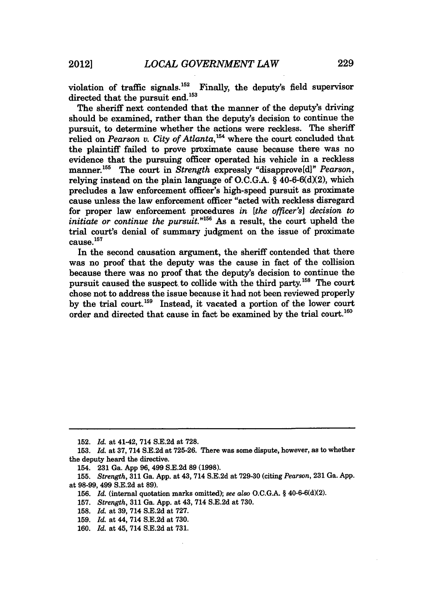violation of traffic signals.'52 Finally, the deputy's field supervisor directed that the pursuit end.<sup>153</sup>

The sheriff next contended that the manner of the deputy's driving should be examined, rather than the deputy's decision to continue the pursuit, to determine whether the actions were reckless. The sheriff relied on *Pearson v. City of Atlanta*,<sup>154</sup> where the court concluded that the plaintiff failed to prove proximate cause because there was no evidence that the pursuing officer operated his vehicle in a reckless manner.<sup>155</sup> The court in *Strength* expressly "disapprove[d]" *Pearson*, relying instead on the plain language of  $O.C.G.A. \S 40-6-6(d)(2)$ , which precludes a law enforcement officer's high-speed pursuit as proximate cause unless the law enforcement officer "acted with reckless disregard for proper law enforcement procedures *in [the officer's] decision to initiate or continue the pursuit.*"<sup>156</sup> As a result, the court upheld the trial court's denial of summary judgment on the issue of proximate cause.<sup>157</sup>

In the second causation argument, the sheriff contended that there was no proof that the deputy was the cause in fact of the collision because there was no proof that the deputy's decision to continue the pursuit caused the suspect to collide with the third party.<sup>158</sup> The court chose not to address the issue because it had not been reviewed properly **by** the trial court.'59 Instead, it vacated a portion of the lower court order and directed that cause in fact be examined by the trial court.<sup>160</sup>

**<sup>152.</sup>** *Id.* at 41-42, 714 **S.E.2d** at **728.**

**<sup>153.</sup>** *Id.* at **37,** 714 **S.E.2d** at **725-26.** There was some dispute, however, as to whether the deputy heard the directive.

<sup>154.</sup> **231** Ga. **App 96,** 499 **S.E.2d 89 (1998).**

**<sup>155.</sup>** *Strength,* **311** Ga. **App.** at 43, 714 **S.E.2d** at **729-30** (citing *Pearson,* **231** Ga. **App.** at **98-99,** 499 **S.E.2d** at **89).**

**<sup>156.</sup>** *Id.* (internal quotation marks omitted); see *also* **O.C.G.A.** § 40-6-6(d)(2).

**<sup>157.</sup>** *Strength,* **311** Ga. **App.** at 43, 714 **S.E.2d** at **730.**

**<sup>158.</sup>** *Id.* at **39,** 714 **S.E.2d** at **727.**

**<sup>159.</sup>** *Id.* at 44, 714 **S.E.2d** at **730.**

**<sup>160.</sup>** *Id.* at 45, 714 **S.E.2d** at **731.**